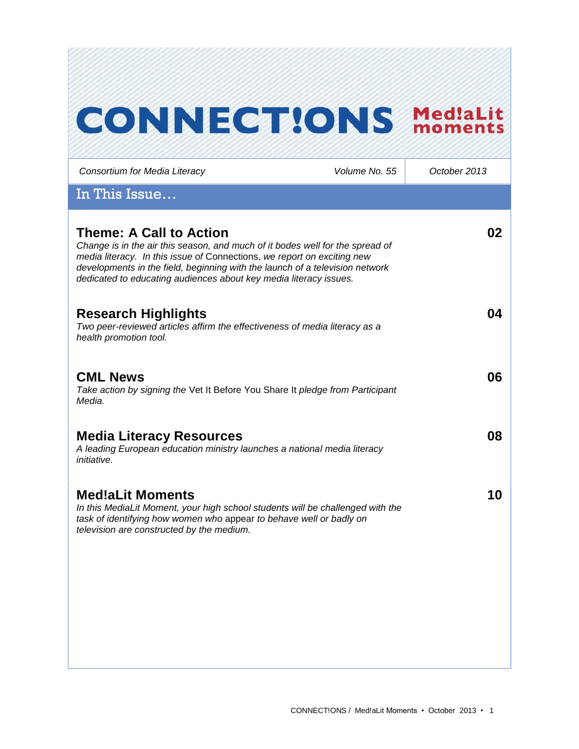# **CONNECT!ONS MediaLit**

*Consortium for Media Literacy Volume No. 55 October 2013* In This Issue… **Theme: A Call to Action** *Change is in the air this season, and much of it bodes well for the spread of media literacy. In this issue of* Connections, *we report on exciting new developments in the field, beginning with the launch of a television network dedicated to educating audiences about key media literacy issues.*  **02 Research Highlights** *Two peer-reviewed articles affirm the effectiveness of media literacy as a health promotion tool.*  **04 CML News**  *Take action by signing the* Vet It Before You Share It *pledge from Participant Media.* **06 Media Literacy Resources** *A leading European education ministry launches a national media literacy initiative.*  **08 Med!aLit Moments** *In this MediaLit Moment, your high school students will be challenged with the task of identifying how women who* appear *to behave well or badly on television are constructed by the medium.*  **10**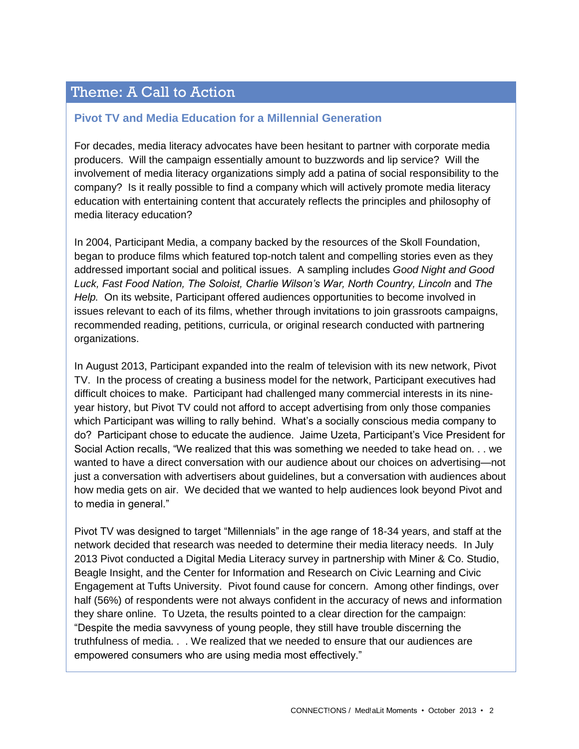# Theme: A Call to Action

#### **Pivot TV and Media Education for a Millennial Generation**

For decades, media literacy advocates have been hesitant to partner with corporate media producers. Will the campaign essentially amount to buzzwords and lip service? Will the involvement of media literacy organizations simply add a patina of social responsibility to the company? Is it really possible to find a company which will actively promote media literacy education with entertaining content that accurately reflects the principles and philosophy of media literacy education?

In 2004, Participant Media, a company backed by the resources of the Skoll Foundation, began to produce films which featured top-notch talent and compelling stories even as they addressed important social and political issues. A sampling includes *Good Night and Good*  Luck, Fast Food Nation, The Soloist, Charlie Wilson's War, North Country, Lincoln and The *Help.* On its website, Participant offered audiences opportunities to become involved in issues relevant to each of its films, whether through invitations to join grassroots campaigns, recommended reading, petitions, curricula, or original research conducted with partnering organizations.

In August 2013, Participant expanded into the realm of television with its new network, Pivot TV. In the process of creating a business model for the network, Participant executives had difficult choices to make. Participant had challenged many commercial interests in its nineyear history, but Pivot TV could not afford to accept advertising from only those companies which Participant was willing to rally behind. What's a socially conscious media company to do? Participant chose to educate the audience. Jaime Uzeta, Participant's Vice President for Social Action recalls, "We realized that this was something we needed to take head on. . . we wanted to have a direct conversation with our audience about our choices on advertising—not just a conversation with advertisers about guidelines, but a conversation with audiences about how media gets on air. We decided that we wanted to help audiences look beyond Pivot and to media in general."

Pivot TV was designed to target "Millennials" in the age range of 18-34 years, and staff at the network decided that research was needed to determine their media literacy needs. In July 2013 Pivot conducted a Digital Media Literacy survey in partnership with Miner & Co. Studio, Beagle Insight, and the Center for Information and Research on Civic Learning and Civic Engagement at Tufts University. Pivot found cause for concern. Among other findings, over half (56%) of respondents were not always confident in the accuracy of news and information they share online. To Uzeta, the results pointed to a clear direction for the campaign: "Despite the media savvyness of young people, they still have trouble discerning the truthfulness of media. . . We realized that we needed to ensure that our audiences are empowered consumers who are using media most effectively."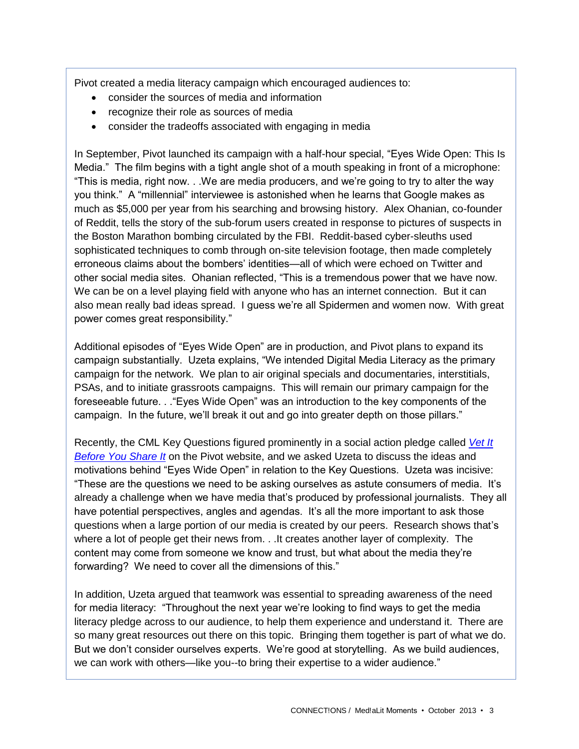Pivot created a media literacy campaign which encouraged audiences to:

- consider the sources of media and information
- recognize their role as sources of media
- consider the tradeoffs associated with engaging in media

In September, Pivot launched its campaign with a half-hour special, "Eyes Wide Open: This Is Media." The film begins with a tight angle shot of a mouth speaking in front of a microphone: "This is media, right now. . .We are media producers, and we're going to try to alter the way you think." A "millennial" interviewee is astonished when he learns that Google makes as much as \$5,000 per year from his searching and browsing history. Alex Ohanian, co-founder of Reddit, tells the story of the sub-forum users created in response to pictures of suspects in the Boston Marathon bombing circulated by the FBI. Reddit-based cyber-sleuths used sophisticated techniques to comb through on-site television footage, then made completely erroneous claims about the bombers' identities—all of which were echoed on Twitter and other social media sites. Ohanian reflected, "This is a tremendous power that we have now. We can be on a level playing field with anyone who has an internet connection. But it can also mean really bad ideas spread. I guess we're all Spidermen and women now. With great power comes great responsibility."

Additional episodes of "Eyes Wide Open" are in production, and Pivot plans to expand its campaign substantially. Uzeta explains, "We intended Digital Media Literacy as the primary campaign for the network. We plan to air original specials and documentaries, interstitials, PSAs, and to initiate grassroots campaigns. This will remain our primary campaign for the foreseeable future. . ."Eyes Wide Open" was an introduction to the key components of the campaign. In the future, we'll break it out and go into greater depth on those pillars."

Recently, the CML Key Questions figured prominently in a social action pledge called *[Vet It](http://takeaction.takepart.com/actions/question-your-media-vet-it-you-share-it)  [Before You Share It](http://takeaction.takepart.com/actions/question-your-media-vet-it-you-share-it)* on the Pivot website, and we asked Uzeta to discuss the ideas and motivations behind "Eyes Wide Open" in relation to the Key Questions. Uzeta was incisive: "These are the questions we need to be asking ourselves as astute consumers of media. It's already a challenge when we have media that's produced by professional journalists. They all have potential perspectives, angles and agendas. It's all the more important to ask those questions when a large portion of our media is created by our peers. Research shows that's where a lot of people get their news from. . .It creates another layer of complexity. The content may come from someone we know and trust, but what about the media they're forwarding? We need to cover all the dimensions of this."

In addition, Uzeta argued that teamwork was essential to spreading awareness of the need for media literacy: "Throughout the next year we're looking to find ways to get the media literacy pledge across to our audience, to help them experience and understand it. There are so many great resources out there on this topic. Bringing them together is part of what we do. But we don't consider ourselves experts. We're good at storytelling. As we build audiences, we can work with others—like you--to bring their expertise to a wider audience."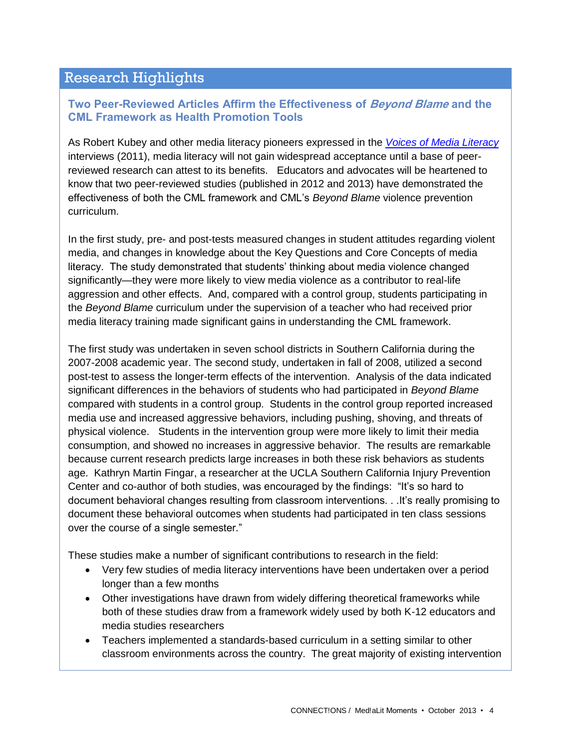## Research Highlights

#### **Two Peer-Reviewed Articles Affirm the Effectiveness of** *Beyond Blame* **and the CML Framework as Health Promotion Tools**

As Robert Kubey and other media literacy pioneers expressed in the *[Voices of Media Literacy](http://www.medialit.org/voices-media-literacy-international-pioneers-speak)* interviews (2011), media literacy will not gain widespread acceptance until a base of peerreviewed research can attest to its benefits. Educators and advocates will be heartened to know that two peer-reviewed studies (published in 2012 and 2013) have demonstrated the effectiveness of both the CML framework and CML's *Beyond Blame* violence prevention curriculum.

In the first study, pre- and post-tests measured changes in student attitudes regarding violent media, and changes in knowledge about the Key Questions and Core Concepts of media literacy. The study demonstrated that students' thinking about media violence changed significantly—they were more likely to view media violence as a contributor to real-life aggression and other effects. And, compared with a control group, students participating in the *Beyond Blame* curriculum under the supervision of a teacher who had received prior media literacy training made significant gains in understanding the CML framework.

The first study was undertaken in seven school districts in Southern California during the 2007-2008 academic year. The second study, undertaken in fall of 2008, utilized a second post-test to assess the longer-term effects of the intervention. Analysis of the data indicated significant differences in the behaviors of students who had participated in *Beyond Blame* compared with students in a control group. Students in the control group reported increased media use and increased aggressive behaviors, including pushing, shoving, and threats of physical violence. Students in the intervention group were more likely to limit their media consumption, and showed no increases in aggressive behavior. The results are remarkable because current research predicts large increases in both these risk behaviors as students age. Kathryn Martin Fingar, a researcher at the UCLA Southern California Injury Prevention Center and co-author of both studies, was encouraged by the findings: "It's so hard to document behavioral changes resulting from classroom interventions. . .It's really promising to document these behavioral outcomes when students had participated in ten class sessions over the course of a single semester."

These studies make a number of significant contributions to research in the field:

- Very few studies of media literacy interventions have been undertaken over a period longer than a few months
- Other investigations have drawn from widely differing theoretical frameworks while both of these studies draw from a framework widely used by both K-12 educators and media studies researchers
- Teachers implemented a standards-based curriculum in a setting similar to other classroom environments across the country. The great majority of existing intervention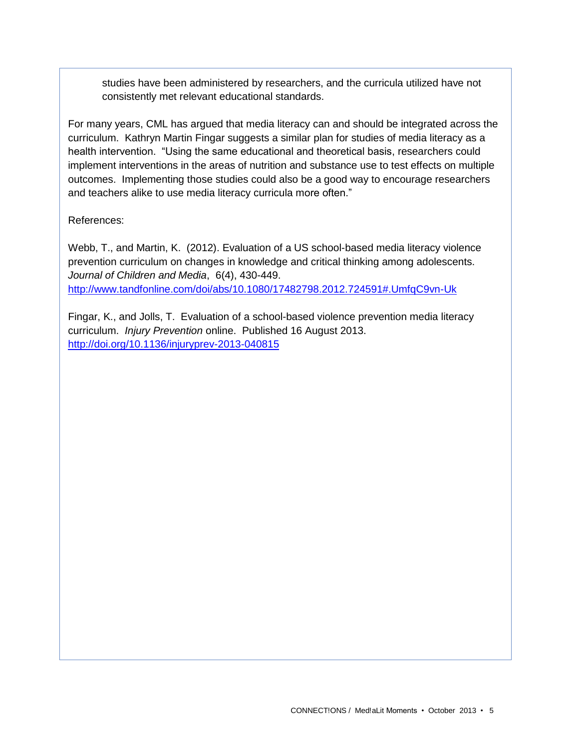studies have been administered by researchers, and the curricula utilized have not consistently met relevant educational standards.

For many years, CML has argued that media literacy can and should be integrated across the curriculum. Kathryn Martin Fingar suggests a similar plan for studies of media literacy as a health intervention. "Using the same educational and theoretical basis, researchers could implement interventions in the areas of nutrition and substance use to test effects on multiple outcomes. Implementing those studies could also be a good way to encourage researchers and teachers alike to use media literacy curricula more often."

#### References:

Webb, T., and Martin, K. (2012). Evaluation of a US school-based media literacy violence prevention curriculum on changes in knowledge and critical thinking among adolescents. *Journal of Children and Media*, 6(4), 430-449. <http://www.tandfonline.com/doi/abs/10.1080/17482798.2012.724591#.UmfqC9vn-Uk>

Fingar, K., and Jolls, T. Evaluation of a school-based violence prevention media literacy curriculum. *Injury Prevention* online. Published 16 August 2013. <http://doi.org/10.1136/injuryprev-2013-040815>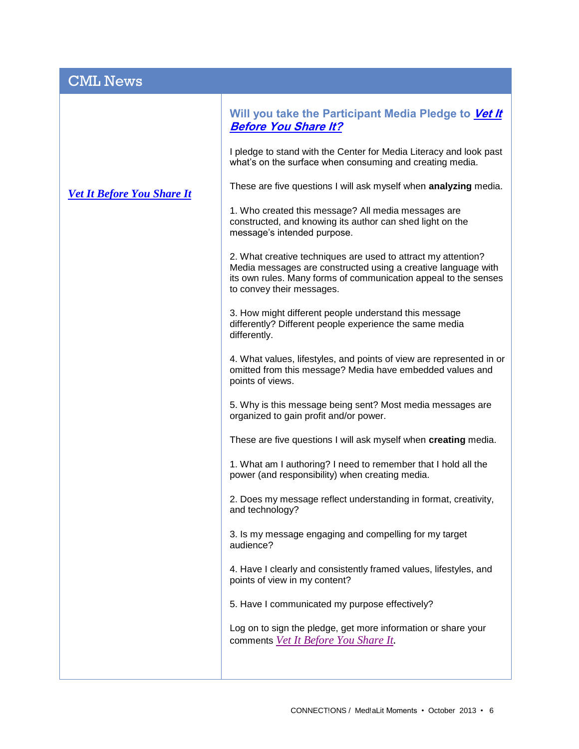| <b>CML News</b>                   |                                                                                                                                                                                                                                |
|-----------------------------------|--------------------------------------------------------------------------------------------------------------------------------------------------------------------------------------------------------------------------------|
| <b>Vet It Before You Share It</b> | Will you take the Participant Media Pledge to Vet It<br><b>Before You Share It?</b>                                                                                                                                            |
|                                   | I pledge to stand with the Center for Media Literacy and look past<br>what's on the surface when consuming and creating media.                                                                                                 |
|                                   | These are five questions I will ask myself when analyzing media.                                                                                                                                                               |
|                                   | 1. Who created this message? All media messages are<br>constructed, and knowing its author can shed light on the<br>message's intended purpose.                                                                                |
|                                   | 2. What creative techniques are used to attract my attention?<br>Media messages are constructed using a creative language with<br>its own rules. Many forms of communication appeal to the senses<br>to convey their messages. |
|                                   | 3. How might different people understand this message<br>differently? Different people experience the same media<br>differently.                                                                                               |
|                                   | 4. What values, lifestyles, and points of view are represented in or<br>omitted from this message? Media have embedded values and<br>points of views.                                                                          |
|                                   | 5. Why is this message being sent? Most media messages are<br>organized to gain profit and/or power.                                                                                                                           |
|                                   | These are five questions I will ask myself when creating media.                                                                                                                                                                |
|                                   | 1. What am I authoring? I need to remember that I hold all the<br>power (and responsibility) when creating media.                                                                                                              |
|                                   | 2. Does my message reflect understanding in format, creativity,<br>and technology?                                                                                                                                             |
|                                   | 3. Is my message engaging and compelling for my target<br>audience?                                                                                                                                                            |
|                                   | 4. Have I clearly and consistently framed values, lifestyles, and<br>points of view in my content?                                                                                                                             |
|                                   | 5. Have I communicated my purpose effectively?                                                                                                                                                                                 |
|                                   | Log on to sign the pledge, get more information or share your<br>comments Vet It Before You Share It.                                                                                                                          |
|                                   |                                                                                                                                                                                                                                |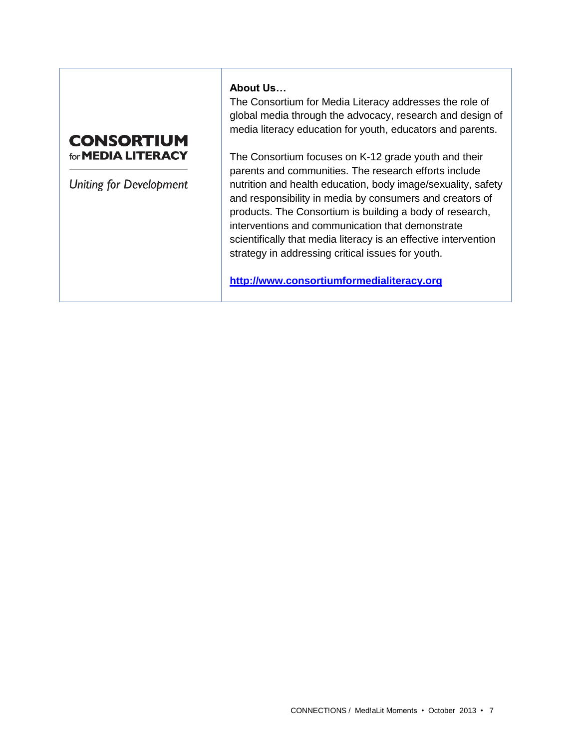### **CONSORTIUM** for **MEDIA LITERACY**

**Uniting for Development** 

#### **About Us…**

The Consortium for Media Literacy addresses the role of global media through the advocacy, research and design of media literacy education for youth, educators and parents.

The Consortium focuses on K-12 grade youth and their parents and communities. The research efforts include nutrition and health education, body image/sexuality, safety and responsibility in media by consumers and creators of products. The Consortium is building a body of research, interventions and communication that demonstrate scientifically that media literacy is an effective intervention strategy in addressing critical issues for youth.

**[http://www.consortiumformedialiteracy.org](http://www.consortiumformedialiteracy.org/)**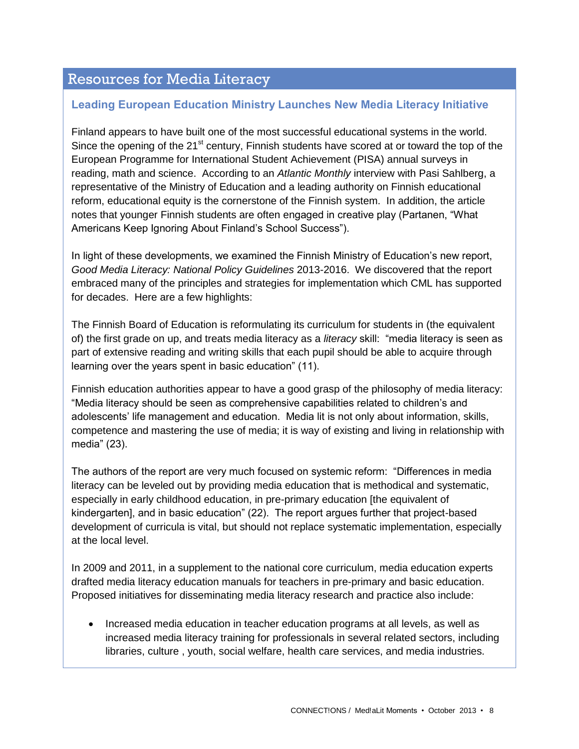## Resources for Media Literacy

#### **Leading European Education Ministry Launches New Media Literacy Initiative**

Finland appears to have built one of the most successful educational systems in the world. Since the opening of the 21<sup>st</sup> century, Finnish students have scored at or toward the top of the European Programme for International Student Achievement (PISA) annual surveys in reading, math and science. According to an *Atlantic Monthly* interview with Pasi Sahlberg, a representative of the Ministry of Education and a leading authority on Finnish educational reform, educational equity is the cornerstone of the Finnish system. In addition, the article notes that younger Finnish students are often engaged in creative play (Partanen, "What Americans Keep Ignoring About Finland's School Success").

In light of these developments, we examined the Finnish Ministry of Education's new report, *Good Media Literacy: National Policy Guidelines* 2013-2016. We discovered that the report embraced many of the principles and strategies for implementation which CML has supported for decades. Here are a few highlights:

The Finnish Board of Education is reformulating its curriculum for students in (the equivalent of) the first grade on up, and treats media literacy as a *literacy* skill: "media literacy is seen as part of extensive reading and writing skills that each pupil should be able to acquire through learning over the years spent in basic education" (11).

Finnish education authorities appear to have a good grasp of the philosophy of media literacy: "Media literacy should be seen as comprehensive capabilities related to children's and adolescents' life management and education. Media lit is not only about information, skills, competence and mastering the use of media; it is way of existing and living in relationship with media" (23).

The authors of the report are very much focused on systemic reform: "Differences in media literacy can be leveled out by providing media education that is methodical and systematic, especially in early childhood education, in pre-primary education [the equivalent of kindergarten], and in basic education" (22). The report argues further that project-based development of curricula is vital, but should not replace systematic implementation, especially at the local level.

In 2009 and 2011, in a supplement to the national core curriculum, media education experts drafted media literacy education manuals for teachers in pre-primary and basic education. Proposed initiatives for disseminating media literacy research and practice also include:

• Increased media education in teacher education programs at all levels, as well as increased media literacy training for professionals in several related sectors, including libraries, culture , youth, social welfare, health care services, and media industries.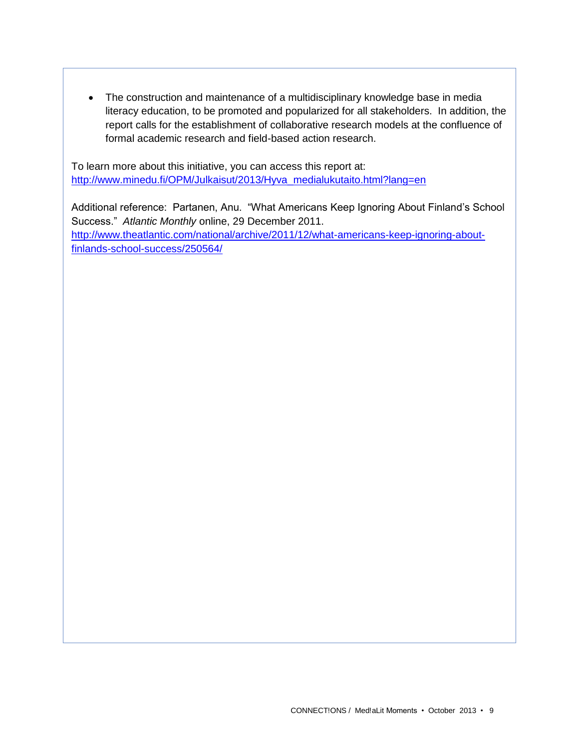• The construction and maintenance of a multidisciplinary knowledge base in media literacy education, to be promoted and popularized for all stakeholders. In addition, the report calls for the establishment of collaborative research models at the confluence of formal academic research and field-based action research.

To learn more about this initiative, you can access this report at: [http://www.minedu.fi/OPM/Julkaisut/2013/Hyva\\_medialukutaito.html?lang=en](http://www.minedu.fi/OPM/Julkaisut/2013/Hyva_medialukutaito.html?lang=en)

Additional reference: Partanen, Anu. "What Americans Keep Ignoring About Finland's School Success." *Atlantic Monthly* online, 29 December 2011. [http://www.theatlantic.com/national/archive/2011/12/what-americans-keep-ignoring-about](http://www.theatlantic.com/national/archive/2011/12/what-americans-keep-ignoring-about-finlands-school-success/250564/)[finlands-school-success/250564/](http://www.theatlantic.com/national/archive/2011/12/what-americans-keep-ignoring-about-finlands-school-success/250564/)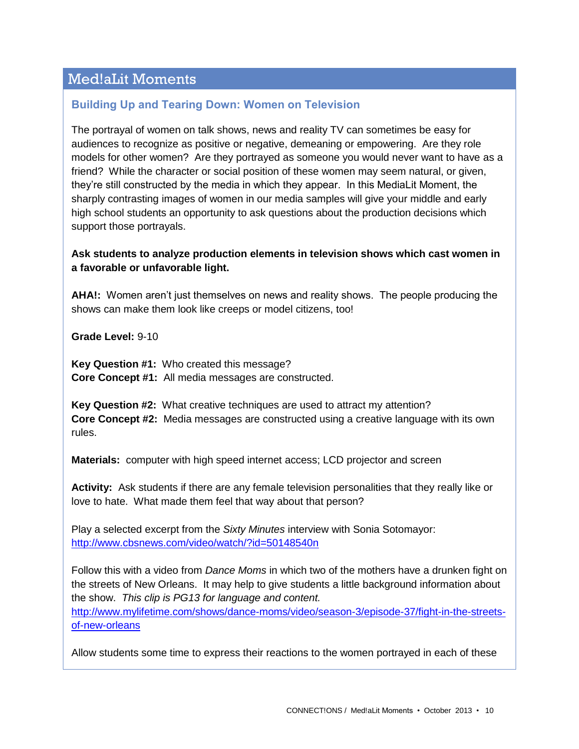## Med!aLit Moments

#### **Building Up and Tearing Down: Women on Television**

The portrayal of women on talk shows, news and reality TV can sometimes be easy for audiences to recognize as positive or negative, demeaning or empowering. Are they role models for other women? Are they portrayed as someone you would never want to have as a friend? While the character or social position of these women may seem natural, or given, they're still constructed by the media in which they appear. In this MediaLit Moment, the sharply contrasting images of women in our media samples will give your middle and early high school students an opportunity to ask questions about the production decisions which support those portrayals.

#### **Ask students to analyze production elements in television shows which cast women in a favorable or unfavorable light.**

**AHA!:** Women aren't just themselves on news and reality shows. The people producing the shows can make them look like creeps or model citizens, too!

**Grade Level:** 9-10

**Key Question #1:** Who created this message? **Core Concept #1:** All media messages are constructed.

**Key Question #2:** What creative techniques are used to attract my attention? **Core Concept #2:** Media messages are constructed using a creative language with its own rules.

**Materials:** computer with high speed internet access; LCD projector and screen

**Activity:** Ask students if there are any female television personalities that they really like or love to hate. What made them feel that way about that person?

Play a selected excerpt from the *Sixty Minutes* interview with Sonia Sotomayor: <http://www.cbsnews.com/video/watch/?id=50148540n>

Follow this with a video from *Dance Moms* in which two of the mothers have a drunken fight on the streets of New Orleans. It may help to give students a little background information about the show. *This clip is PG13 for language and content.* 

[http://www.mylifetime.com/shows/dance-moms/video/season-3/episode-37/fight-in-the-streets](http://www.mylifetime.com/shows/dance-moms/video/season-3/episode-37/fight-in-the-streets-of-new-orleans)[of-new-orleans](http://www.mylifetime.com/shows/dance-moms/video/season-3/episode-37/fight-in-the-streets-of-new-orleans)

Allow students some time to express their reactions to the women portrayed in each of these